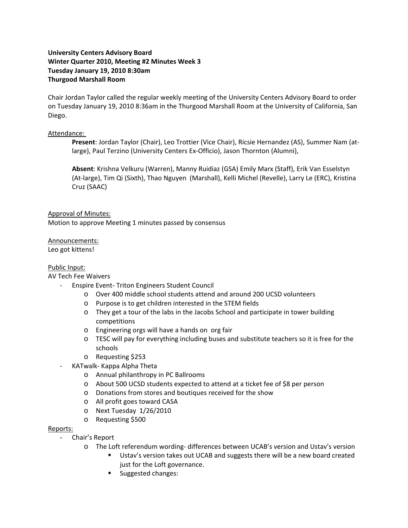## **University Centers Advisory Board Winter Quarter 2010, Meeting #2 Minutes Week 3 Tuesday January 19, 2010 8:30am Thurgood Marshall Room**

Chair Jordan Taylor called the regular weekly meeting of the University Centers Advisory Board to order on Tuesday January 19, 2010 8:36am in the Thurgood Marshall Room at the University of California, San Diego.

### Attendance:

**Present**: Jordan Taylor (Chair), Leo Trottier (Vice Chair), Ricsie Hernandez (AS), Summer Nam (at‐ large), Paul Terzino (University Centers Ex‐Officio), Jason Thornton (Alumni),

**Absent**: Krishna Velkuru (Warren), Manny Ruidiaz (GSA) Emily Marx (Staff), Erik Van Esselstyn (At‐large), Tim Qi (Sixth), Thao Nguyen (Marshall), Kelli Michel (Revelle), Larry Le (ERC), Kristina Cruz (SAAC)

## Approval of Minutes:

Motion to approve Meeting 1 minutes passed by consensus

# Announcements:

Leo got kittens!

## Public Input:

### AV Tech Fee Waivers

- ‐ Enspire Event‐ Triton Engineers Student Council
	- o Over 400 middle school students attend and around 200 UCSD volunteers
	- o Purpose is to get children interested in the STEM fields
	- o They get a tour of the labs in the Jacobs School and participate in tower building competitions
	- o Engineering orgs will have a hands on org fair
	- o TESC will pay for everything including buses and substitute teachers so it is free for the schools
	- o Requesting \$253
- ‐ KATwalk‐ Kappa Alpha Theta
	- o Annual philanthropy in PC Ballrooms
	- o About 500 UCSD students expected to attend at a ticket fee of \$8 per person
	- o Donations from stores and boutiques received for the show
	- o All profit goes toward CASA
	- o Next Tuesday 1/26/2010
	- o Requesting \$500

#### Reports:

- Chair's Report
	- o The Loft referendum wording‐ differences between UCAB's version and Ustav's version
		- Ustav's version takes out UCAB and suggests there will be a new board created just for the Loft governance.
		- **Suggested changes:**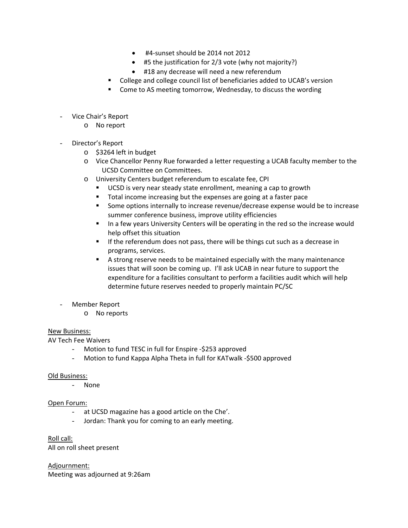- #4‐sunset should be 2014 not 2012
- #5 the justification for 2/3 vote (why not majority?)
- #18 any decrease will need a new referendum
- College and college council list of beneficiaries added to UCAB's version
- Come to AS meeting tomorrow, Wednesday, to discuss the wording
- Vice Chair's Report
	- o No report
- Director's Report
	- o \$3264 left in budget
	- o Vice Chancellor Penny Rue forwarded a letter requesting a UCAB faculty member to the UCSD Committee on Committees.
	- o University Centers budget referendum to escalate fee, CPI
		- UCSD is very near steady state enrollment, meaning a cap to growth
		- Total income increasing but the expenses are going at a faster pace
		- Some options internally to increase revenue/decrease expense would be to increase summer conference business, improve utility efficiencies
		- In a few years University Centers will be operating in the red so the increase would help offset this situation
		- **If the referendum does not pass, there will be things cut such as a decrease in** programs, services.
		- A strong reserve needs to be maintained especially with the many maintenance issues that will soon be coming up. I'll ask UCAB in near future to support the expenditure for a facilities consultant to perform a facilities audit which will help determine future reserves needed to properly maintain PC/SC
- Member Report
	- o No reports

## New Business:

AV Tech Fee Waivers

- Motion to fund TESC in full for Enspire ‐\$253 approved
- Motion to fund Kappa Alpha Theta in full for KATwalk ‐\$500 approved

### Old Business:

- None

### Open Forum:

- at UCSD magazine has a good article on the Che'.
- Jordan: Thank you for coming to an early meeting.

Roll call:

All on roll sheet present

Adjournment: Meeting was adjourned at 9:26am